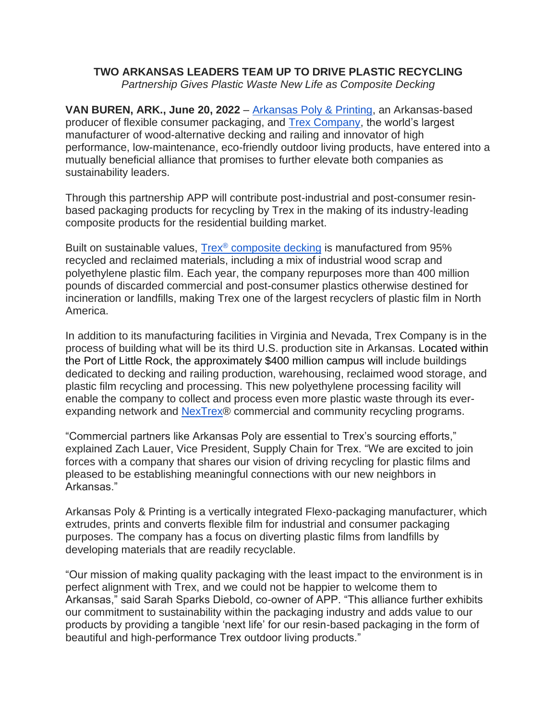## **TWO ARKANSAS LEADERS TEAM UP TO DRIVE PLASTIC RECYCLING**

*Partnership Gives Plastic Waste New Life as Composite Decking*

**VAN BUREN, ARK., June 20, 2022** – Arkansas Poly & Printing, an Arkansas-based producer of flexible consumer packaging, and Trex Company, the world's largest manufacturer of wood-alternative decking and railing and innovator of high performance, low-maintenance, eco-friendly outdoor living products, have entered into a mutually beneficial alliance that promises to further elevate both companies as sustainability leaders.

Through this partnership APP will contribute post-industrial and post-consumer resinbased packaging products for recycling by Trex in the making of its industry-leading composite products for the residential building market.

Built on sustainable values, Trex® composite decking is manufactured from 95% recycled and reclaimed materials, including a mix of industrial wood scrap and polyethylene plastic film. Each year, the company repurposes more than 400 million pounds of discarded commercial and post-consumer plastics otherwise destined for incineration or landfills, making Trex one of the largest recyclers of plastic film in North America.

In addition to its manufacturing facilities in Virginia and Nevada, Trex Company is in the process of building what will be its third U.S. production site in Arkansas. Located within the Port of Little Rock, the approximately \$400 million campus will include buildings dedicated to decking and railing production, warehousing, reclaimed wood storage, and plastic film recycling and processing. This new polyethylene processing facility will enable the company to collect and process even more plastic waste through its everexpanding network and NexTrex® commercial and community recycling programs.

"Commercial partners like Arkansas Poly are essential to Trex's sourcing efforts," explained Zach Lauer, Vice President, Supply Chain for Trex. "We are excited to join forces with a company that shares our vision of driving recycling for plastic films and pleased to be establishing meaningful connections with our new neighbors in Arkansas."

Arkansas Poly & Printing is a vertically integrated Flexo-packaging manufacturer, which extrudes, prints and converts flexible film for industrial and consumer packaging purposes. The company has a focus on diverting plastic films from landfills by developing materials that are readily recyclable.

"Our mission of making quality packaging with the least impact to the environment is in perfect alignment with Trex, and we could not be happier to welcome them to Arkansas," said Sarah Sparks Diebold, co-owner of APP. "This alliance further exhibits our commitment to sustainability within the packaging industry and adds value to our products by providing a tangible 'next life' for our resin-based packaging in the form of beautiful and high-performance Trex outdoor living products."